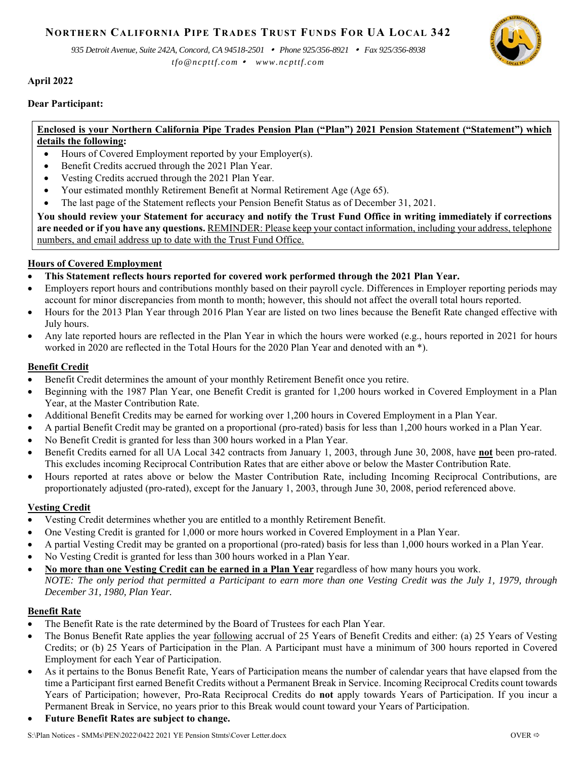# **NORTHERN CALIFORNIA PIPE TRADES TRUST FUNDS FOR UA LOCAL 342**

*935 Detroit Avenue, Suite 242A, Concord, CA 94518-2501 Phone 925/356-8921 Fax 925/356-8938* 

*tfo@ncpttf.com www.ncpttf.com*

# **April 2022**

## **Dear Participant:**

#### $\overline{a}$ **Enclosed is your Northern California Pipe Trades Pension Plan ("Plan") 2021 Pension Statement ("Statement") which details the following:**

- Hours of Covered Employment reported by your Employer(s).
- Benefit Credits accrued through the 2021 Plan Year.
- Vesting Credits accrued through the 2021 Plan Year.
- Your estimated monthly Retirement Benefit at Normal Retirement Age (Age 65).
- The last page of the Statement reflects your Pension Benefit Status as of December 31, 2021.

**You should review your Statement for accuracy and notify the Trust Fund Office in writing immediately if corrections are needed or if you have any questions.** REMINDER: Please keep your contact information, including your address, telephone numbers, and email address up to date with the Trust Fund Office.

# **Hours of Covered Employment**

- **This Statement reflects hours reported for covered work performed through the 2021 Plan Year.**
- Employers report hours and contributions monthly based on their payroll cycle. Differences in Employer reporting periods may account for minor discrepancies from month to month; however, this should not affect the overall total hours reported.
- Hours for the 2013 Plan Year through 2016 Plan Year are listed on two lines because the Benefit Rate changed effective with July hours.
- Any late reported hours are reflected in the Plan Year in which the hours were worked (e.g., hours reported in 2021 for hours worked in 2020 are reflected in the Total Hours for the 2020 Plan Year and denoted with an \*).

## **Benefit Credit**

- Benefit Credit determines the amount of your monthly Retirement Benefit once you retire.
- Beginning with the 1987 Plan Year, one Benefit Credit is granted for 1,200 hours worked in Covered Employment in a Plan Year, at the Master Contribution Rate.
- Additional Benefit Credits may be earned for working over 1,200 hours in Covered Employment in a Plan Year.
- A partial Benefit Credit may be granted on a proportional (pro-rated) basis for less than 1,200 hours worked in a Plan Year.
- No Benefit Credit is granted for less than 300 hours worked in a Plan Year.
- Benefit Credits earned for all UA Local 342 contracts from January 1, 2003, through June 30, 2008, have **not** been pro-rated. This excludes incoming Reciprocal Contribution Rates that are either above or below the Master Contribution Rate.
- Hours reported at rates above or below the Master Contribution Rate, including Incoming Reciprocal Contributions, are proportionately adjusted (pro-rated), except for the January 1, 2003, through June 30, 2008, period referenced above.

# **Vesting Credit**

- Vesting Credit determines whether you are entitled to a monthly Retirement Benefit.
- One Vesting Credit is granted for 1,000 or more hours worked in Covered Employment in a Plan Year.
- A partial Vesting Credit may be granted on a proportional (pro-rated) basis for less than 1,000 hours worked in a Plan Year.
- No Vesting Credit is granted for less than 300 hours worked in a Plan Year.
- **No more than one Vesting Credit can be earned in a Plan Year** regardless of how many hours you work. *NOTE: The only period that permitted a Participant to earn more than one Vesting Credit was the July 1, 1979, through December 31, 1980, Plan Year.*

#### **Benefit Rate**

- The Benefit Rate is the rate determined by the Board of Trustees for each Plan Year.
- The Bonus Benefit Rate applies the year following accrual of 25 Years of Benefit Credits and either: (a) 25 Years of Vesting Credits; or (b) 25 Years of Participation in the Plan. A Participant must have a minimum of 300 hours reported in Covered Employment for each Year of Participation.
- As it pertains to the Bonus Benefit Rate, Years of Participation means the number of calendar years that have elapsed from the time a Participant first earned Benefit Credits without a Permanent Break in Service. Incoming Reciprocal Credits count towards Years of Participation; however, Pro-Rata Reciprocal Credits do **not** apply towards Years of Participation. If you incur a Permanent Break in Service, no years prior to this Break would count toward your Years of Participation.
- **Future Benefit Rates are subject to change.**